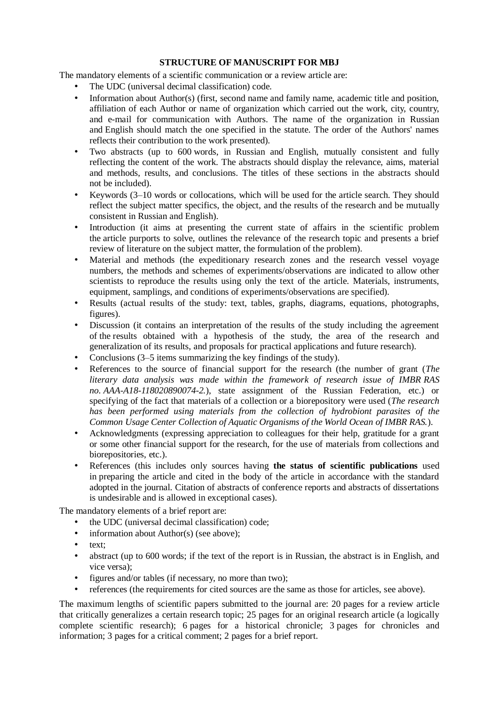# **STRUCTURE OF MANUSCRIPT FOR MBJ**

The mandatory elements of a scientific communication or a review article are:

- The UDC (universal decimal classification) code.
- Information about Author(s) (first, second name and family name, academic title and position, affiliation of each Author or name of organization which carried out the work, city, country, and e-mail for communication with Authors. The name of the organization in Russian and English should match the one specified in the statute. The order of the Authors' names reflects their contribution to the work presented).
- Two abstracts (up to 600 words, in Russian and English, mutually consistent and fully reflecting the content of the work. The abstracts should display the relevance, aims, material and methods, results, and conclusions. The titles of these sections in the abstracts should not be included).
- Keywords  $(3-10$  words or collocations, which will be used for the article search. They should reflect the subject matter specifics, the object, and the results of the research and be mutually consistent in Russian and English).
- Introduction (it aims at presenting the current state of affairs in the scientific problem the article purports to solve, outlines the relevance of the research topic and presents a brief review of literature on the subject matter, the formulation of the problem).
- Material and methods (the expeditionary research zones and the research vessel voyage numbers, the methods and schemes of experiments/observations are indicated to allow other scientists to reproduce the results using only the text of the article. Materials, instruments, equipment, samplings, and conditions of experiments/observations are specified).
- Results (actual results of the study: text, tables, graphs, diagrams, equations, photographs, figures).
- Discussion (it contains an interpretation of the results of the study including the agreement of the results obtained with a hypothesis of the study, the area of the research and generalization of its results, and proposals for practical applications and future research).
- Conclusions (3–5 items summarizing the key findings of the study).
- References to the source of financial support for the research (the number of grant (*The literary data analysis was made within the framework of research issue of IMBR RAS no. AAA-A18-118020890074-2.*), state assignment of the Russian Federation, etc.) or specifying of the fact that materials of a collection or a biorepository were used (*The research has been performed using materials from the collection of hydrobiont parasites of the Common Usage Center Collection of Aquatic Organisms of the World Ocean of IMBR RAS.*).
- Acknowledgments (expressing appreciation to colleagues for their help, gratitude for a grant or some other financial support for the research, for the use of materials from collections and biorepositories, etc.).
- References (this includes only sources having **the status of scientific publications** used in preparing the article and cited in the body of the article in accordance with the standard adopted in the journal. Citation of abstracts of conference reports and abstracts of dissertations is undesirable and is allowed in exceptional cases).

The mandatory elements of a brief report are:

- the UDC (universal decimal classification) code;
- information about Author(s) (see above);
- text;
- abstract (up to 600 words; if the text of the report is in Russian, the abstract is in English, and vice versa);
- figures and/or tables (if necessary, no more than two);
- references (the requirements for cited sources are the same as those for articles, see above).

The maximum lengths of scientific papers submitted to the journal are: 20 pages for a review article that critically generalizes a certain research topic; 25 pages for an original research article (a logically complete scientific research); 6 pages for a historical chronicle; 3 pages for chronicles and information; 3 pages for a critical comment; 2 pages for a brief report.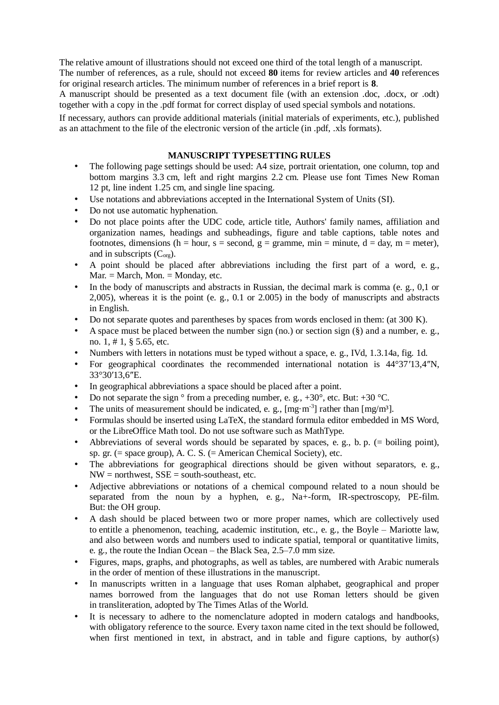The relative amount of illustrations should not exceed one third of the total length of a manuscript. The number of references, as a rule, should not exceed **80** items for review articles and **40** references for original research articles. The minimum number of references in a brief report is **8**.

A manuscript should be presented as a text document file (with an extension .doc, .docx, or .odt) together with a copy in the .pdf format for correct display of used special symbols and notations.

If necessary, authors can provide additional materials (initial materials of experiments, etc.), published as an attachment to the file of the electronic version of the article (in .pdf, .xls formats).

# **MANUSCRIPT TYPESETTING RULES**

- The following page settings should be used: A4 size, portrait orientation, one column, top and bottom margins 3.3 cm, left and right margins 2.2 cm. Please use font Times New Roman 12 pt, line indent 1.25 cm, and single line spacing.
- Use notations and abbreviations accepted in the International System of Units (SI).
- Do not use automatic hyphenation.
- Do not place points after the UDC code, article title, Authors' family names, affiliation and organization names, headings and subheadings, figure and table captions, table notes and footnotes, dimensions (h = hour, s = second, g = gramme, min = minute, d = day, m = meter), and in subscripts  $(C<sub>ore</sub>)$ .
- A point should be placed after abbreviations including the first part of a word, e. g.,  $Mar. = March, Mon. = Monday, etc.$
- In the body of manuscripts and abstracts in Russian, the decimal mark is comma (e. g., 0,1 or 2,005), whereas it is the point (e. g., 0.1 or 2.005) in the body of manuscripts and abstracts in English.
- Do not separate quotes and parentheses by spaces from words enclosed in them: (at 300 K).
- A space must be placed between the number sign (no.) or section sign  $(\S)$  and a number, e. g., no. 1, # 1, § 5.65, etc.
- Numbers with letters in notations must be typed without a space, e. g., IVd, 1.3.14a, fig. 1d.
- For geographical coordinates the recommended international notation is 44°37′13,4″N, 33°30′13,6″E.
- In geographical abbreviations a space should be placed after a point.
- Do not separate the sign  $\degree$  from a preceding number, e. g., +30 $\degree$ , etc. But: +30  $\degree$ C.
- The units of measurement should be indicated, e. g.,  $[mg \cdot m^{-3}]$  rather than  $[mg/m^3]$ .
- Formulas should be inserted using LaTeX, the standard formula editor embedded in MS Word, or the LibreOffice Math tool. Do not use software such as MathType.
- Abbreviations of several words should be separated by spaces, e. g., b. p. (= boiling point), sp. gr. (= space group), A. C. S. (= American Chemical Society), etc.
- The abbreviations for geographical directions should be given without separators, e.g.,  $NW =$  northwest,  $SSE =$  south-southeast, etc.
- Adjective abbreviations or notations of a chemical compound related to a noun should be separated from the noun by a hyphen, e.g., Na+-form, IR-spectroscopy, PE-film. But: the OH group.
- A dash should be placed between two or more proper names, which are collectively used to entitle a phenomenon, teaching, academic institution, etc., e. g., the Boyle – Mariotte law, and also between words and numbers used to indicate spatial, temporal or quantitative limits, e. g., the route the Indian Ocean – the Black Sea, 2.5–7.0 mm size.
- Figures, maps, graphs, and photographs, as well as tables, are numbered with Arabic numerals in the order of mention of these illustrations in the manuscript.
- In manuscripts written in a language that uses Roman alphabet, geographical and proper names borrowed from the languages that do not use Roman letters should be given in transliteration, adopted by The Times Atlas of the World.
- It is necessary to adhere to the nomenclature adopted in modern catalogs and handbooks, with obligatory reference to the source. Every taxon name cited in the text should be followed, when first mentioned in text, in abstract, and in table and figure captions, by author(s)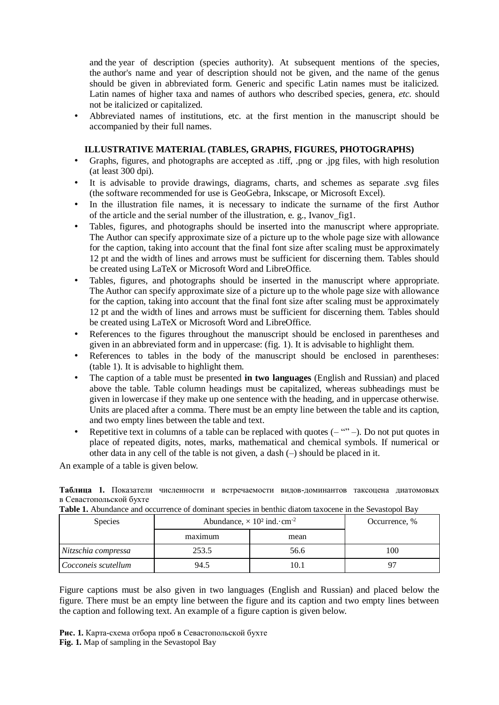and the year of description (species authority). At subsequent mentions of the species, the author's name and year of description should not be given, and the name of the genus should be given in abbreviated form. Generic and specific Latin names must be italicized. Latin names of higher taxa and names of authors who described species, genera, *etc.* should not be italicized or capitalized.

• Abbreviated names of institutions, etc. at the first mention in the manuscript should be accompanied by their full names.

# **ILLUSTRATIVE MATERIAL (TABLES, GRAPHS, FIGURES, PHOTOGRAPHS)**

- Graphs, figures, and photographs are accepted as .tiff, .png or .jpg files, with high resolution (at least 300 dpi).
- It is advisable to provide drawings, diagrams, charts, and schemes as separate .svg files (the software recommended for use is GeoGebra, Inkscape, or Microsoft Excel).
- In the illustration file names, it is necessary to indicate the surname of the first Author of the article and the serial number of the illustration, e. g., Ivanov\_fig1.
- Tables, figures, and photographs should be inserted into the manuscript where appropriate. The Author can specify approximate size of a picture up to the whole page size with allowance for the caption, taking into account that the final font size after scaling must be approximately 12 pt and the width of lines and arrows must be sufficient for discerning them. Tables should be created using LaTeX or Microsoft Word and LibreOffice.
- Tables, figures, and photographs should be inserted in the manuscript where appropriate. The Author can specify approximate size of a picture up to the whole page size with allowance for the caption, taking into account that the final font size after scaling must be approximately 12 pt and the width of lines and arrows must be sufficient for discerning them. Tables should be created using LaTeX or Microsoft Word and LibreOffice.
- References to the figures throughout the manuscript should be enclosed in parentheses and given in an abbreviated form and in uppercase: (fig. 1). It is advisable to highlight them.
- References to tables in the body of the manuscript should be enclosed in parentheses: (table 1). It is advisable to highlight them.
- The caption of a table must be presented **in two languages** (English and Russian) and placed above the table. Table column headings must be capitalized, whereas subheadings must be given in lowercase if they make up one sentence with the heading, and in uppercase otherwise. Units are placed after a comma. There must be an empty line between the table and its caption, and two empty lines between the table and text.
- Repetitive text in columns of a table can be replaced with quotes  $(- \cdots -)$ . Do not put quotes in place of repeated digits, notes, marks, mathematical and chemical symbols. If numerical or other data in any cell of the table is not given, a dash (–) should be placed in it.

An example of a table is given below.

**Таблица 1.** Показатели численности и встречаемости видов-доминантов таксоцена диатомовых в Севастопольской бухте

| <b>Species</b>      | Abundance, $\times$ 10 <sup>2</sup> ind. $\cdot$ cm <sup>-2</sup> |      | Occurrence, % |
|---------------------|-------------------------------------------------------------------|------|---------------|
|                     | maximum                                                           | mean |               |
| Nitzschia compressa | 253.5                                                             | 56.6 | .00           |
| Cocconeis scutellum | 94.5                                                              | 10.1 |               |

**Table 1.** Abundance and occurrence of dominant species in benthic diatom taxocene in the Sevastopol Bay

Figure captions must be also given in two languages (English and Russian) and placed below the figure. There must be an empty line between the figure and its caption and two empty lines between the caption and following text. An example of a figure caption is given below.

**Рис. 1.** Карта-схема отбора проб в Севастопольской бухте **Fig. 1.** Map of sampling in the Sevastopol Bay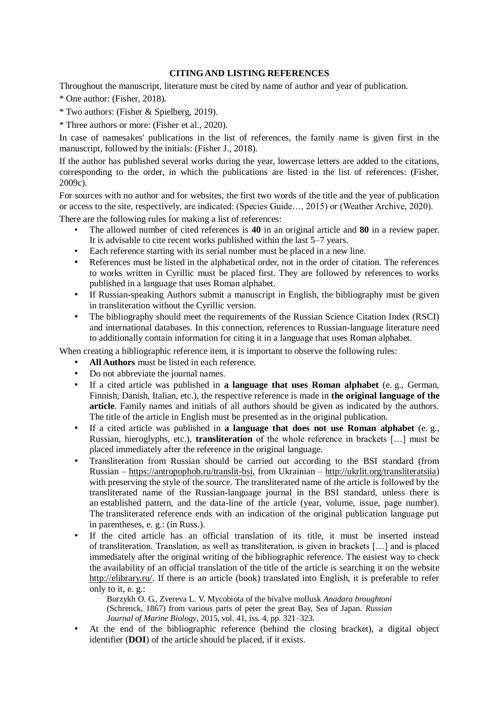# **CITING AND LISTING REFERENCES**

Throughout the manuscript, literature must be cited by name of author and year of publication.

- \* One author: (Fisher, 2018).
- \* Two authors: (Fisher & Spielberg, 2019).
- \* Three authors or more: (Fisher et al., 2020).

In case of namesakes' publications in the list of references, the family name is given first in the manuscript, followed by the initials: (Fisher J., 2018).

If the author has published several works during the year, lowercase letters are added to the citations, corresponding to the order, in which the publications are listed in the list of references: (Fisher, 2009c).

For sources with no author and for websites, the first two words of the title and the year of publication or access to the site, respectively, are indicated: (Species Guide…, 2015) or (Weather Archive, 2020).

There are the following rules for making a list of references:

- The allowed number of cited references is **40** in an original article and **80** in a review paper. It is advisable to cite recent works published within the last 5–7 years.
- Each reference starting with its serial number must be placed in a new line.
- References must be listed in the alphabetical order, not in the order of citation. The references to works written in Cyrillic must be placed first. They are followed by references to works published in a language that uses Roman alphabet.
- If Russian-speaking Authors submit a manuscript in English, the bibliography must be given in transliteration without the Cyrillic version.
- The bibliography should meet the requirements of the Russian Science Citation Index (RSCI) and international databases. In this connection, references to Russian-language literature need to additionally contain information for citing it in a language that uses Roman alphabet.

When creating a bibliographic reference item, it is important to observe the following rules:

- All Authors must be listed in each reference.
- Do not abbreviate the journal names.
- If a cited article was published in **a language that uses Roman alphabet** (e. g., German, Finnish, Danish, Italian, etc.), the respective reference is made in **the original language of the article**. Family names and initials of all authors should be given as indicated by the authors. The title of the article in English must be presented as in the original publication.
- If a cited article was published in **a language that does not use Roman alphabet** (e. g., Russian, hieroglyphs, etc.), **transliteration** of the whole reference in brackets […] must be placed immediately after the reference in the original language.
- Transliteration from Russian should be carried out according to the BSI standard (from Russian – [https://antropophob.ru/translit-bsi,](https://antropophob.ru/translit-bsi) from Ukrainian – [http://ukrlit.org/transliteratsiia\)](http://ukrlit.org/transliteratsiia) with preserving the style of the source. The transliterated name of the article is followed by the transliterated name of the Russian-language journal in the BSI standard, unless there is an established pattern, and the data-line of the article (year, volume, issue, page number). The transliterated reference ends with an indication of the original publication language put in parentheses, e. g.: (in Russ.).
- If the cited article has an official translation of its title, it must be inserted instead of transliteration. Translation, as well as transliteration, is given in brackets […] and is placed immediately after the original writing of the bibliographic reference. The easiest way to check the availability of an official translation of the title of the article is searching it on the website [http://elibrary.ru/.](http://elibrary.ru/) If there is an article (book) translated into English, it is preferable to refer only to it, e. g.:

Borzykh O. G., Zvereva L. V. Mycobiota of the bivalve mollusk *Anadara broughtoni* (Schrenck, 1867) from various parts of peter the great Bay, Sea of Japan. *Russian Journal of Marine Biology*, 2015, vol. 41, iss. 4, pp. 321–323.

• At the end of the bibliographic reference (behind the closing bracket), a digital object identifier (**DOI**) of the article should be placed, if it exists.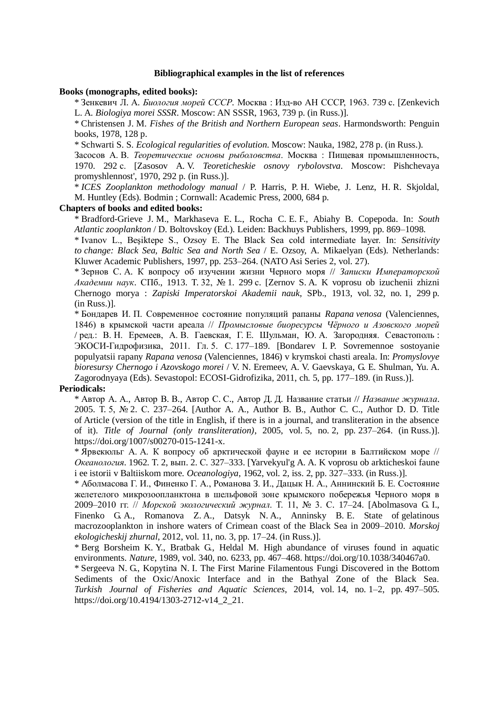## **Bibliographical examples in the list of references**

#### **Books (monographs, edited books):**

\* Зенкевич Л. А. *Биология морей СССР*. Москва : Изд-во АН СССР, 1963. 739 с. [Zenkevich L. A. *Biologiya morei SSSR*. Moscow: AN SSSR, 1963, 739 p. (in Russ.)].

\* Christensen J. M. *Fishes of the British and Northern European seas*. Harmondsworth: Penguin books, 1978, 128 p.

\* Schwarti S. S. *Ecological regularities of evolution*. Moscow: Nauka, 1982, 278 p. (in Russ.).

Засосов А. В. *Теоретические основы рыболовства*. Москва : Пищевая промышленность, 1970. 292 с. [Zasosov A. V. *Teoreticheskie osnovy rybolovstva*. Moscow: Pishchevaya promyshlennost', 1970, 292 p. (in Russ.)].

\* *ICES Zooplankton methodology manual* / P. Harris, P. H. Wiebe, J. Lenz, H. R. Skjoldal, M. Huntley (Eds). Bodmin ; Cornwall: Academic Press, 2000, 684 p.

## **Chapters of books and edited books:**

\* Bradford-Grieve J. M., Markhaseva E. L., Rocha C. E. F., Abiahy B. Copepoda. In: *South Atlantic zooplankton* / D. Boltovskoy (Ed.). Leiden: Backhuys Publishers, 1999, pp. 869–1098.

\* Ivanov L., Beşiktepe S., Ozsoy E. The Black Sea cold intermediate layer. In: *Sensitivity to change: Black Sea, Baltic Sea and North Sea* / E. Ozsoy, A. Mikaelyan (Eds). Netherlands: Kluwer Academic Publishers, 1997, pp. 253–264. (NATO Asi Series 2, vol. 27).

\* Зернов С. А. К вопросу об изучении жизни Черного моря // *Записки Императорской Академии наук*. СПб., 1913. Т. 32, № 1. 299 с. [Zernov S. A. K voprosu ob izuchenii zhizni Chernogo morya : *Zapiski Imperatorskoi Akademii nauk*, SPb., 1913, vol. 32, no. 1, 299 p. (in Russ.)].

\* Бондарев И. П. Современное состояние популяций рапаны *Rapana venosa* (Valenciennes, 1846) в крымской части ареала // *Промысловые биоресурсы Чёрного и Азовского морей* / ред.: В. Н. Еремеев, А. В. Гаевская, Г. Е. Шульман, Ю. А. Загородняя. Севастополь : ЭКОСИ-Гидрофизика, 2011. Гл. 5. С. 177–189. [Bondarev I. P. Sovremennoe sostoyanie populyatsii rapany *Rapana venosa* (Valenciennes, 1846) v krymskoi chasti areala. In: *Promyslovye bioresursy Chernogo i Azovskogo morei* / V. N. Eremeev, A. V. Gaevskaya, G. E. Shulman, Yu. A. Zagorodnyaya (Eds). Sevastopol: ECOSI-Gidrofizika, 2011, ch. 5, pp. 177–189. (in Russ.)].

## **Periodicals:**

\* Автор А. А., Автор В. В., Автор С. С., Автор Д. Д. Название статьи // *Название журнала*. 2005. Т. 5, № 2. С. 237–264. [Author A. A., Author B. B., Author C. C., Author D. D. Title of Article (version of the title in English, if there is in a journal, and transliteration in the absence of it). *Title of Journal (only transliteration)*, 2005, vol. 5, no. 2, pp. 237–264. (in Russ.)]. https://doi.org/1007/s00270-015-1241-x.

\* Ярвекюльг А. А. К вопросу об арктической фауне и ее истории в Балтийском море // *Океанология*. 1962. Т. 2, вып. 2. С. 327–333. [Yarvekyul'g A. A. K voprosu ob arkticheskoi faune i ee istorii v Baltiiskom more. *Oceanologiya*, 1962, vol. 2, iss. 2, pp. 327–333. (in Russ.)].

\* Аболмасова Г. И., Финенко Г. А., Романова З. И., Дацык Н. А., Аннинский Б. Е. Состояние желетелого микрозоопланктона в шельфовой зоне крымского побережья Черного моря в 2009–2010 гг. // *Морской экологический журнал*. Т. 11, № 3. С. 17–24. [Abolmasova G. I., Finenko G. A., Romanova Z. A., Datsyk N. A., Anninsky B. E. State of gelatinous macrozooplankton in inshore waters of Crimean coast of the Black Sea in 2009–2010. *Morskoj ekologicheskij zhurnal*, 2012, vol. 11, no. 3, pp. 17–24. (in Russ.)].

\* Berg Borsheim K. Y., Bratbak G., Heldal M. High abundance of viruses found in aquatic environments. *Nature*, 1989, vol. 340, no. 6233, pp. 467–468. https://doi.org/10.1038/340467a0.

\* Sergeeva N. G., Kopytina N. I. The First Marine Filamentous Fungi Discovered in the Bottom Sediments of the Oxic/Anoxic Interface and in the Bathyal Zone of the Black Sea. *Turkish Journal of Fisheries and Aquatic Sciences*, 2014, vol. 14, no. 1–2, pp. 497–505. https://doi.org/10.4194/1303-2712-v14\_2\_21.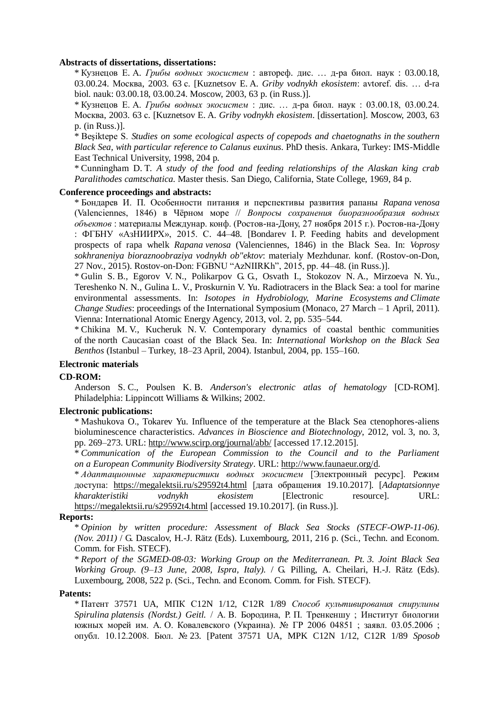## **Abstracts of dissertations, dissertations:**

\* Кузнецов Е. А. *Грибы водных экосистем* : автореф. дис. … д-ра биол. наук : 03.00.18, 03.00.24. Москва, 2003. 63 с. [Kuznetsov E. A. *Griby vodnykh ekosistem*: avtoref. dis. … d-ra biol. nauk: 03.00.18, 03.00.24. Moscow, 2003, 63 p. (in Russ.)].

\* Кузнецов Е. А. *Грибы водных экосистем* : дис. … д-ра биол. наук : 03.00.18, 03.00.24. Москва, 2003. 63 с. [Kuznetsov E. A. *Griby vodnykh ekosistem*. [dissertation]. Moscow, 2003, 63 p. (in Russ.)].

\* Beşiktepe S. *Studies on some ecological aspects of copepods and chaetognaths in the southern Black Sea, with particular reference to Calanus euxinus*. PhD thesis. Ankara, Turkey: IMS-Middle East Technical University, 1998, 204 p.

\* Cunningham D. T. *A study of the food and feeding relationships of the Alaskan king crab Paralithodes camtschatica*. Master thesis. San Diego, California, State College, 1969, 84 p.

## **Conference proceedings and abstracts:**

\* Бондарев И. П. Особенности питания и перспективы развития рапаны *Rapana venosa* (Valenciennes, 1846) в Чёрном море // *Вопросы сохранения биоразнообразия водных объектов* : материалы Междунар. конф. (Ростов-на-Дону, 27 ноября 2015 г.). Ростов-на-Дону : ФГБНУ «АзНИИРХ», 2015. С. 44–48. [Bondarev I. P. Feeding habits and development prospects of rapa whelk *Rapana venosa* (Valenciennes, 1846) in the Black Sea. In: *Voprosy sokhraneniya bioraznoobraziya vodnykh ob"ektov*: materialy Mezhdunar. konf. (Rostov-on-Don, 27 Nov., 2015). Rostov-on-Don: FGBNU "AzNIIRKh", 2015, pp. 44–48. (in Russ.)].

\* Gulin S. B., Egorov V. N., Polikarpov G. G., Osvath I., Stokozov N. A., Mirzoeva N. Yu., Tereshenko N. N., Gulina L. V., Proskurnin V. Yu. Radiotracers in the Black Sea: a tool for marine environmental assessments. In: *Isotopes in Hydrobiology, Marine Ecosystems and Climate Change Studies*: proceedings of the International Symposium (Monaco, 27 March – 1 April, 2011). Vienna: International Atomic Energy Agency, 2013, vol. 2, pp. 535–544.

\* Chikina M. V., Kucheruk N. V. Contemporary dynamics of coastal benthic communities of the north Caucasian coast of the Black Sea. In: *International Workshop on the Black Sea Benthos* (Istanbul – Turkey, 18–23 April, 2004). Istanbul, 2004, pp. 155–160.

## **Electronic materials**

## **CD-ROM:**

Anderson S. C., Poulsen K. B. *Anderson's electronic atlas of hematology* [CD-ROM]. Philadelphia: Lippincott Williams & Wilkins; 2002.

## **Electronic publications:**

\* Mashukova O., Tokarev Yu. Influence of the temperature at the Black Sea ctenophores-aliens bioluminescence characteristics. *Advances in Bioscience and Biotechnology*, 2012, vol. 3, no. 3, pp. 269–273. URL:<http://www.scirp.org/journal/abb/> [accessed 17.12.2015].

\* *Communication of the European Commission to the Council and to the Parliament on a European Community Biodiversity Strategy*. URL: [http://www.faunaeur.org/d.](http://www.faunaeur.org/d)

\* *Адаптационные характеристики водных экосистем* [Электронный ресурс]. Режим доступа: <https://megalektsii.ru/s29592t4.html> [дата обращения 19.10.2017]. [*Adaptatsionnye kharakteristiki vodnykh ekosistem* [Electronic resource]. URL: <https://megalektsii.ru/s29592t4.html> [accessed 19.10.2017]. (in Russ.)].

## **Reports:**

\* *Opinion by written procedure: Assessment of Black Sea Stocks (STECF-OWP-11-06). (Nov. 2011)* / G. Dascalov, H.-J. Rätz (Eds). Luxembourg, 2011, 216 p. (Sci., Techn. and Econom. Comm. for Fish. STECF).

\* *Report of the SGMED-08-03: Working Group on the Mediterranean. Pt. 3. Joint Black Sea Working Group. (9–13 June, 2008, Ispra, Italy).* / G. Pilling, A. Cheilari, H.-J. Rätz (Eds). Luxembourg, 2008, 522 p. (Sci., Techn. and Econom. Comm. for Fish. STECF).

## **Patents:**

\* Патент 37571 UA, МПК С12N 1/12, С12R 1/89 *Способ культивирования спирулины Spirulina platensis (Nordst.) Geitl.* / А. В. Бородина, Р. П. Тренкеншу ; Институт биологии южных морей им. А. О. Ковалевского (Украина). № ГР 2006 04851 ; заявл. 03.05.2006 ; опубл. 10.12.2008. Бюл. № 23. [Patent 37571 UA, MPK C12N 1/12, C12R 1/89 *Sposob*